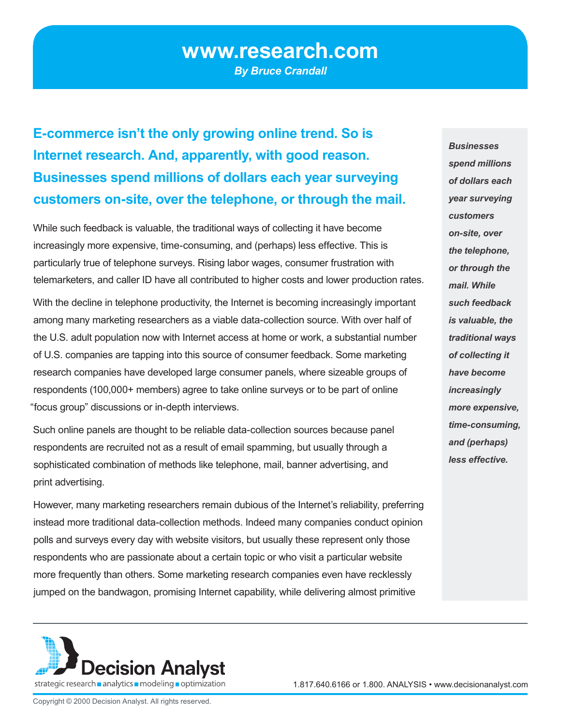# **www.research.com**

*By Bruce Crandall*

**E-commerce isn't the only growing online trend. So is Internet research. And, apparently, with good reason. Businesses spend millions of dollars each year surveying customers on-site, over the telephone, or through the mail.** 

While such feedback is valuable, the traditional ways of collecting it have become increasingly more expensive, time-consuming, and (perhaps) less effective. This is particularly true of telephone surveys. Rising labor wages, consumer frustration with telemarketers, and caller ID have all contributed to higher costs and lower production rates.

With the decline in telephone productivity, the Internet is becoming increasingly important among many marketing researchers as a viable data-collection source. With over half of the U.S. adult population now with Internet access at home or work, a substantial number of U.S. companies are tapping into this source of consumer feedback. Some marketing research companies have developed large consumer panels, where sizeable groups of respondents (100,000+ members) agree to take online surveys or to be part of online "focus group" discussions or in-depth interviews.

Such online panels are thought to be reliable data-collection sources because panel respondents are recruited not as a result of email spamming, but usually through a sophisticated combination of methods like telephone, mail, banner advertising, and print advertising.

However, many marketing researchers remain dubious of the Internet's reliability, preferring instead more traditional data-collection methods. Indeed many companies conduct opinion polls and surveys every day with website visitors, but usually these represent only those respondents who are passionate about a certain topic or who visit a particular website more frequently than others. Some marketing research companies even have recklessly jumped on the bandwagon, promising Internet capability, while delivering almost primitive

*Businesses spend millions of dollars each year surveying customers on-site, over the telephone, or through the mail. While such feedback is valuable, the traditional ways of collecting it have become increasingly more expensive, time-consuming, and (perhaps) less effective.*



Copyright © 2000 Decision Analyst. All rights reserved.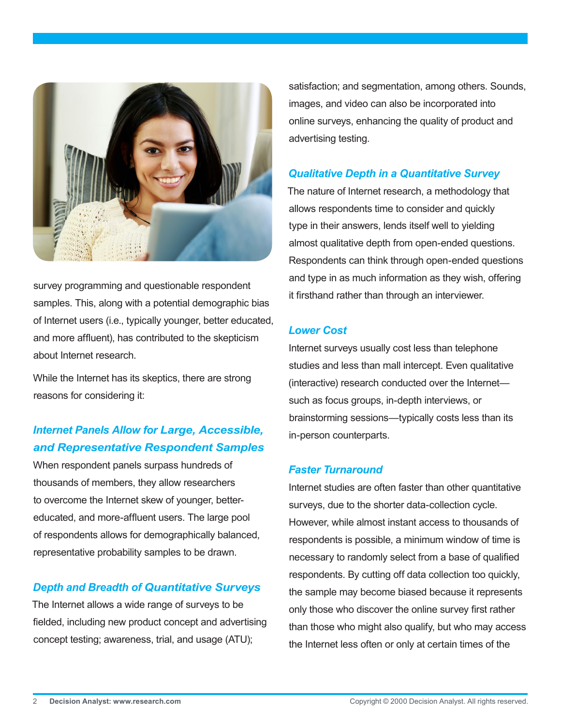

survey programming and questionable respondent samples. This, along with a potential demographic bias of Internet users (i.e., typically younger, better educated, and more affluent), has contributed to the skepticism about Internet research.

While the Internet has its skeptics, there are strong reasons for considering it:

# *Internet Panels Allow for Large, Accessible, and Representative Respondent Samples*

When respondent panels surpass hundreds of thousands of members, they allow researchers to overcome the Internet skew of younger, bettereducated, and more-affluent users. The large pool of respondents allows for demographically balanced, representative probability samples to be drawn.

### *Depth and Breadth of Quantitative Surveys*

The Internet allows a wide range of surveys to be fielded, including new product concept and advertising concept testing; awareness, trial, and usage (ATU);

satisfaction; and segmentation, among others. Sounds, images, and video can also be incorporated into online surveys, enhancing the quality of product and advertising testing.

### *Qualitative Depth in a Quantitative Survey*

The nature of Internet research, a methodology that allows respondents time to consider and quickly type in their answers, lends itself well to yielding almost qualitative depth from open-ended questions. Respondents can think through open-ended questions and type in as much information as they wish, offering it firsthand rather than through an interviewer.

### *Lower Cost*

Internet surveys usually cost less than telephone studies and less than mall intercept. Even qualitative (interactive) research conducted over the Internet such as focus groups, in-depth interviews, or brainstorming sessions—typically costs less than its in-person counterparts.

#### *Faster Turnaround*

Internet studies are often faster than other quantitative surveys, due to the shorter data-collection cycle. However, while almost instant access to thousands of respondents is possible, a minimum window of time is necessary to randomly select from a base of qualified respondents. By cutting off data collection too quickly, the sample may become biased because it represents only those who discover the online survey first rather than those who might also qualify, but who may access the Internet less often or only at certain times of the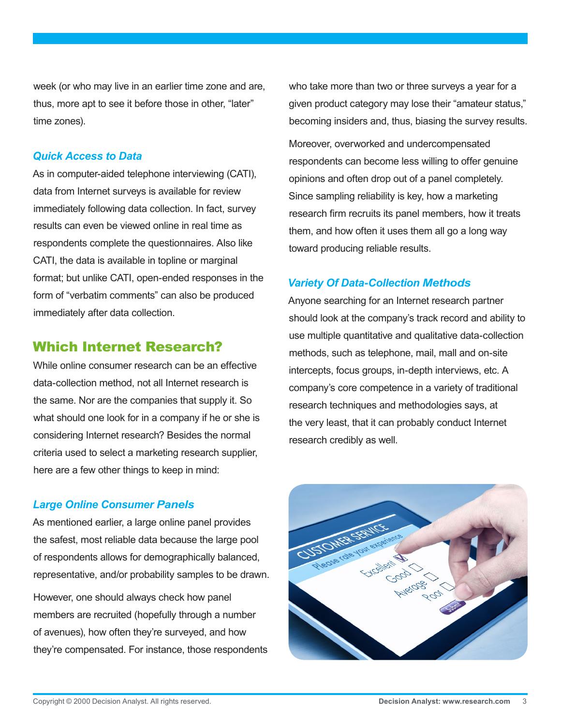week (or who may live in an earlier time zone and are, thus, more apt to see it before those in other, "later" time zones).

### *Quick Access to Data*

As in computer-aided telephone interviewing (CATI), data from Internet surveys is available for review immediately following data collection. In fact, survey results can even be viewed online in real time as respondents complete the questionnaires. Also like CATI, the data is available in topline or marginal format; but unlike CATI, open-ended responses in the form of "verbatim comments" can also be produced immediately after data collection.

# Which Internet Research?

While online consumer research can be an effective data-collection method, not all Internet research is the same. Nor are the companies that supply it. So what should one look for in a company if he or she is considering Internet research? Besides the normal criteria used to select a marketing research supplier, here are a few other things to keep in mind:

### *Large Online Consumer Panels*

As mentioned earlier, a large online panel provides the safest, most reliable data because the large pool of respondents allows for demographically balanced, representative, and/or probability samples to be drawn. However, one should always check how panel members are recruited (hopefully through a number of avenues), how often they're surveyed, and how they're compensated. For instance, those respondents

who take more than two or three surveys a year for a given product category may lose their "amateur status," becoming insiders and, thus, biasing the survey results.

Moreover, overworked and undercompensated respondents can become less willing to offer genuine opinions and often drop out of a panel completely. Since sampling reliability is key, how a marketing research firm recruits its panel members, how it treats them, and how often it uses them all go a long way toward producing reliable results.

## *Variety Of Data-Collection Methods*

Anyone searching for an Internet research partner should look at the company's track record and ability to use multiple quantitative and qualitative data-collection methods, such as telephone, mail, mall and on-site intercepts, focus groups, in-depth interviews, etc. A company's core competence in a variety of traditional research techniques and methodologies says, at the very least, that it can probably conduct Internet research credibly as well.